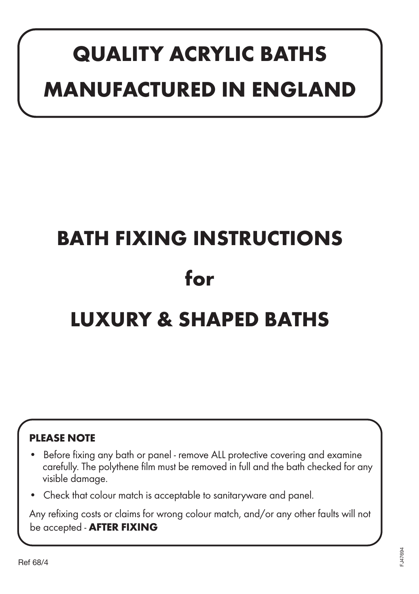## **QUALITY ACRYLIC BATHS MANUFACTURED IN ENGLAND**

# **BATH FIXING INSTRUCTIONS for LUXURY & SHAPED BATHS**

### **PLEASE NOTE**

- Before fixing any bath or panel remove ALL protective covering and examine carefully. The polythene film must be removed in full and the bath checked for any visible damage.
- Check that colour match is acceptable to sanitaryware and panel.

Any refixing costs or claims for wrong colour match, and/or any other faults will not be accepted - **AFTER FIXING**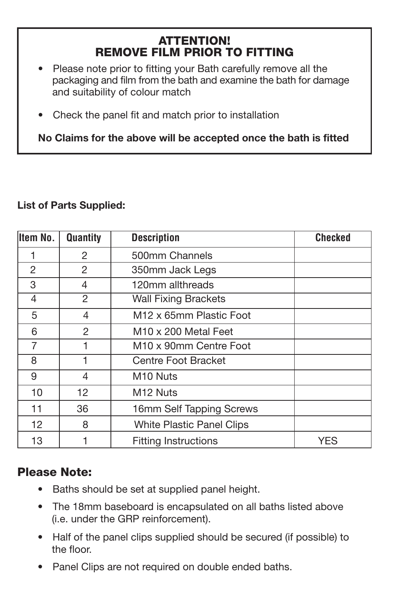#### ATTENTION! REMOVE FILM PRIOR TO FITTING

- Please note prior to fitting your Bath carefully remove all the packaging and film from the bath and examine the bath for damage and suitability of colour match
- Check the panel fit and match prior to installation

**No Claims for the above will be accepted once the bath is fitted**

#### **List of Parts Supplied:**

| Item No. | <b>Quantity</b> | <b>Description</b>                  | <b>Checked</b> |
|----------|-----------------|-------------------------------------|----------------|
|          | $\mathcal{P}$   | 500mm Channels                      |                |
| 2        | $\mathcal{P}$   | 350mm Jack Legs                     |                |
| 3        | 4               | 120mm allthreads                    |                |
| 4        | 2               | <b>Wall Fixing Brackets</b>         |                |
| 5        | 4               | M <sub>12</sub> x 65mm Plastic Foot |                |
| 6        | $\mathfrak{p}$  | M <sub>10</sub> x 200 Metal Feet    |                |
| 7        |                 | M <sub>10</sub> x 90mm Centre Foot  |                |
| 8        | 1               | Centre Foot Bracket                 |                |
| 9        | 4               | M <sub>10</sub> Nuts                |                |
| 10       | 12              | M <sub>12</sub> Nuts                |                |
| 11       | 36              | 16mm Self Tapping Screws            |                |
| 12       | 8               | White Plastic Panel Clips           |                |
| 13       |                 | <b>Fitting Instructions</b>         | YES            |

### Please Note:

- Baths should be set at supplied panel height.
- The 18mm baseboard is encapsulated on all baths listed above (i.e. under the GRP reinforcement).
- Half of the panel clips supplied should be secured (if possible) to the floor.
- Panel Clips are not required on double ended baths.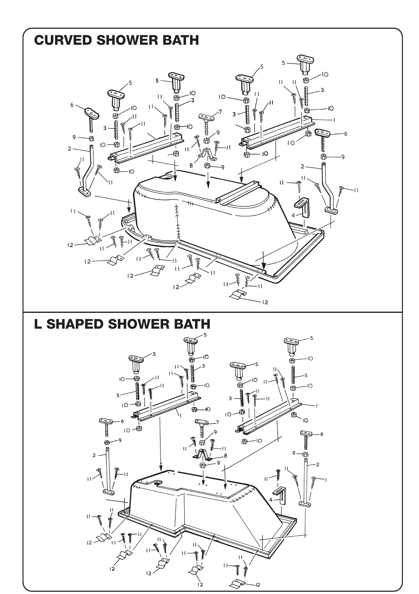